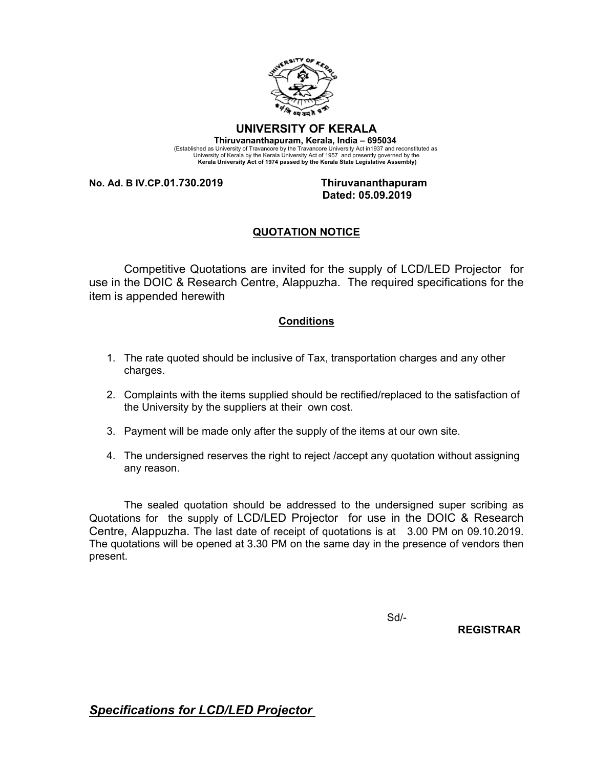

## **UNIVERSITY OF KERALA**

**Thiruvananthapuram, Kerala, India – 695034**  (Established as University of Travancore by the Travancore University Act in1937 and reconstituted as<br>University of Kerala by the Kerala University Act of 1957 and presently governed by the<br>Kerala University Act of 1974 pa

**No. Ad. B IV.CP.01.730.2019 Thiruvananthapuram**

 **Dated: 05.09.2019**

## **QUOTATION NOTICE**

Competitive Quotations are invited for the supply of LCD/LED Projector for use in the DOIC & Research Centre, Alappuzha. The required specifications for the item is appended herewith

## **Conditions**

- 1. The rate quoted should be inclusive of Tax, transportation charges and any other charges.
- 2. Complaints with the items supplied should be rectified/replaced to the satisfaction of the University by the suppliers at their own cost.
- 3. Payment will be made only after the supply of the items at our own site.
- 4. The undersigned reserves the right to reject /accept any quotation without assigning any reason.

The sealed quotation should be addressed to the undersigned super scribing as Quotations for the supply of LCD/LED Projector for use in the DOIC & Research Centre, Alappuzha. The last date of receipt of quotations is at 3.00 PM on 09.10.2019. The quotations will be opened at 3.30 PM on the same day in the presence of vendors then present.

Sd/-

 **REGISTRAR** 

*Specifications for LCD/LED Projector*